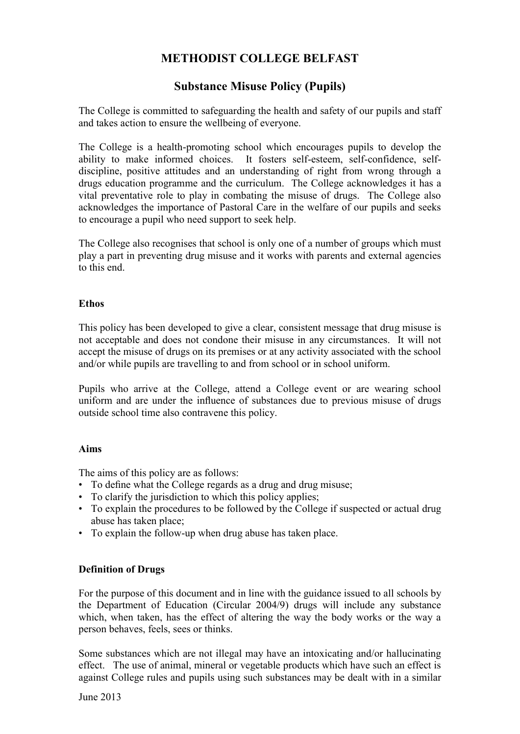# **METHODIST COLLEGE BELFAST**

## **Substance Misuse Policy (Pupils)**

The College is committed to safeguarding the health and safety of our pupils and staff and takes action to ensure the wellbeing of everyone.

The College is a health-promoting school which encourages pupils to develop the ability to make informed choices. It fosters self-esteem, self-confidence, selfdiscipline, positive attitudes and an understanding of right from wrong through a drugs education programme and the curriculum. The College acknowledges it has a vital preventative role to play in combating the misuse of drugs. The College also acknowledges the importance of Pastoral Care in the welfare of our pupils and seeks to encourage a pupil who need support to seek help.

The College also recognises that school is only one of a number of groups which must play a part in preventing drug misuse and it works with parents and external agencies to this end.

#### **Ethos**

This policy has been developed to give a clear, consistent message that drug misuse is not acceptable and does not condone their misuse in any circumstances. It will not accept the misuse of drugs on its premises or at any activity associated with the school and/or while pupils are travelling to and from school or in school uniform.

Pupils who arrive at the College, attend a College event or are wearing school uniform and are under the influence of substances due to previous misuse of drugs outside school time also contravene this policy.

#### **Aims**

The aims of this policy are as follows:

- To define what the College regards as a drug and drug misuse;
- To clarify the jurisdiction to which this policy applies;
- To explain the procedures to be followed by the College if suspected or actual drug abuse has taken place;
- To explain the follow-up when drug abuse has taken place.

## **Definition of Drugs**

For the purpose of this document and in line with the guidance issued to all schools by the Department of Education (Circular 2004/9) drugs will include any substance which, when taken, has the effect of altering the way the body works or the way a person behaves, feels, sees or thinks.

Some substances which are not illegal may have an intoxicating and/or hallucinating effect. The use of animal, mineral or vegetable products which have such an effect is against College rules and pupils using such substances may be dealt with in a similar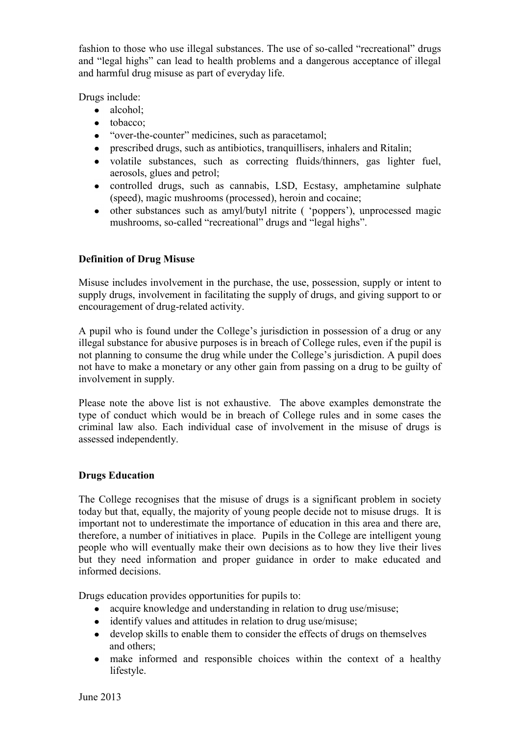fashion to those who use illegal substances. The use of so-called "recreational" drugs and "legal highs" can lead to health problems and a dangerous acceptance of illegal and harmful drug misuse as part of everyday life.

Drugs include:

- alcohol;
- tobacco:
- "over-the-counter" medicines, such as paracetamol;
- prescribed drugs, such as antibiotics, tranquillisers, inhalers and Ritalin;
- volatile substances, such as correcting fluids/thinners, gas lighter fuel, aerosols, glues and petrol;
- controlled drugs, such as cannabis, LSD, Ecstasy, amphetamine sulphate (speed), magic mushrooms (processed), heroin and cocaine;
- other substances such as amyl/butyl nitrite ( "poppers"), unprocessed magic  $\bullet$ mushrooms, so-called "recreational" drugs and "legal highs".

## **Definition of Drug Misuse**

Misuse includes involvement in the purchase, the use, possession, supply or intent to supply drugs, involvement in facilitating the supply of drugs, and giving support to or encouragement of drug-related activity.

A pupil who is found under the College"s jurisdiction in possession of a drug or any illegal substance for abusive purposes is in breach of College rules, even if the pupil is not planning to consume the drug while under the College"s jurisdiction. A pupil does not have to make a monetary or any other gain from passing on a drug to be guilty of involvement in supply.

Please note the above list is not exhaustive. The above examples demonstrate the type of conduct which would be in breach of College rules and in some cases the criminal law also. Each individual case of involvement in the misuse of drugs is assessed independently.

## **Drugs Education**

The College recognises that the misuse of drugs is a significant problem in society today but that, equally, the majority of young people decide not to misuse drugs. It is important not to underestimate the importance of education in this area and there are, therefore, a number of initiatives in place. Pupils in the College are intelligent young people who will eventually make their own decisions as to how they live their lives but they need information and proper guidance in order to make educated and informed decisions.

Drugs education provides opportunities for pupils to:

- acquire knowledge and understanding in relation to drug use/misuse;  $\bullet$
- identify values and attitudes in relation to drug use/misuse;
- develop skills to enable them to consider the effects of drugs on themselves and others;
- make informed and responsible choices within the context of a healthy lifestyle.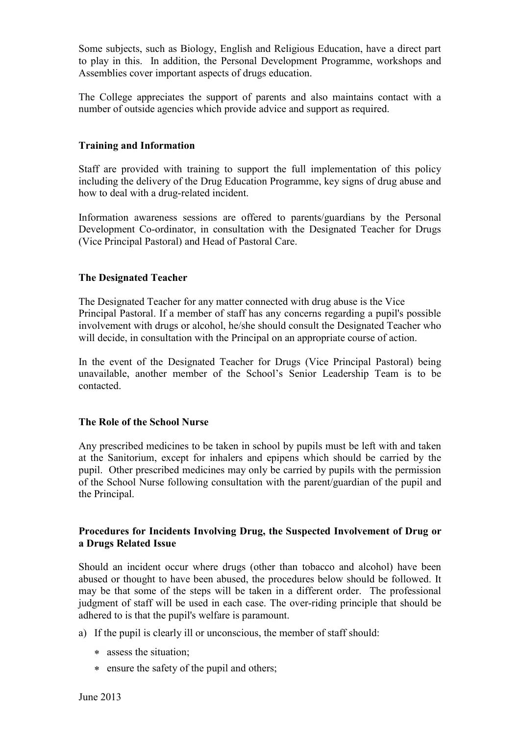Some subjects, such as Biology, English and Religious Education, have a direct part to play in this. In addition, the Personal Development Programme, workshops and Assemblies cover important aspects of drugs education.

The College appreciates the support of parents and also maintains contact with a number of outside agencies which provide advice and support as required.

#### **Training and Information**

Staff are provided with training to support the full implementation of this policy including the delivery of the Drug Education Programme, key signs of drug abuse and how to deal with a drug-related incident.

Information awareness sessions are offered to parents/guardians by the Personal Development Co-ordinator, in consultation with the Designated Teacher for Drugs (Vice Principal Pastoral) and Head of Pastoral Care.

#### **The Designated Teacher**

The Designated Teacher for any matter connected with drug abuse is the Vice Principal Pastoral. If a member of staff has any concerns regarding a pupil's possible involvement with drugs or alcohol, he/she should consult the Designated Teacher who will decide, in consultation with the Principal on an appropriate course of action.

In the event of the Designated Teacher for Drugs (Vice Principal Pastoral) being unavailable, another member of the School"s Senior Leadership Team is to be contacted.

#### **The Role of the School Nurse**

Any prescribed medicines to be taken in school by pupils must be left with and taken at the Sanitorium, except for inhalers and epipens which should be carried by the pupil. Other prescribed medicines may only be carried by pupils with the permission of the School Nurse following consultation with the parent/guardian of the pupil and the Principal.

#### **Procedures for Incidents Involving Drug, the Suspected Involvement of Drug or a Drugs Related Issue**

Should an incident occur where drugs (other than tobacco and alcohol) have been abused or thought to have been abused, the procedures below should be followed. It may be that some of the steps will be taken in a different order. The professional judgment of staff will be used in each case. The over-riding principle that should be adhered to is that the pupil's welfare is paramount.

- a) If the pupil is clearly ill or unconscious, the member of staff should:
	- assess the situation;
	- ensure the safety of the pupil and others;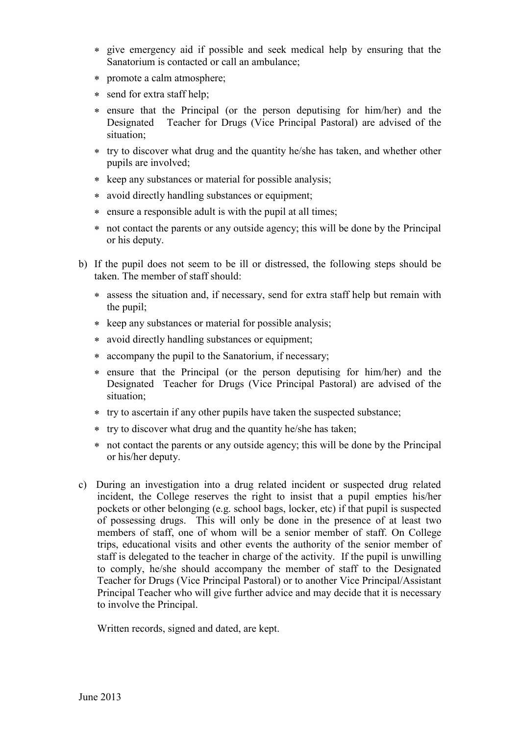- give emergency aid if possible and seek medical help by ensuring that the Sanatorium is contacted or call an ambulance;
- promote a calm atmosphere;
- send for extra staff help;
- ensure that the Principal (or the person deputising for him/her) and the Designated Teacher for Drugs (Vice Principal Pastoral) are advised of the situation;
- try to discover what drug and the quantity he/she has taken, and whether other pupils are involved;
- \* keep any substances or material for possible analysis;
- avoid directly handling substances or equipment;
- ensure a responsible adult is with the pupil at all times;
- not contact the parents or any outside agency; this will be done by the Principal or his deputy.
- b) If the pupil does not seem to be ill or distressed, the following steps should be taken. The member of staff should:
	- assess the situation and, if necessary, send for extra staff help but remain with the pupil;
	- \* keep any substances or material for possible analysis;
	- avoid directly handling substances or equipment;
	- accompany the pupil to the Sanatorium, if necessary;
	- ensure that the Principal (or the person deputising for him/her) and the Designated Teacher for Drugs (Vice Principal Pastoral) are advised of the situation;
	- try to ascertain if any other pupils have taken the suspected substance;
	- try to discover what drug and the quantity he/she has taken;
	- not contact the parents or any outside agency; this will be done by the Principal or his/her deputy.
- c) During an investigation into a drug related incident or suspected drug related incident, the College reserves the right to insist that a pupil empties his/her pockets or other belonging (e.g. school bags, locker, etc) if that pupil is suspected of possessing drugs. This will only be done in the presence of at least two members of staff, one of whom will be a senior member of staff. On College trips, educational visits and other events the authority of the senior member of staff is delegated to the teacher in charge of the activity. If the pupil is unwilling to comply, he/she should accompany the member of staff to the Designated Teacher for Drugs (Vice Principal Pastoral) or to another Vice Principal/Assistant Principal Teacher who will give further advice and may decide that it is necessary to involve the Principal.

Written records, signed and dated, are kept.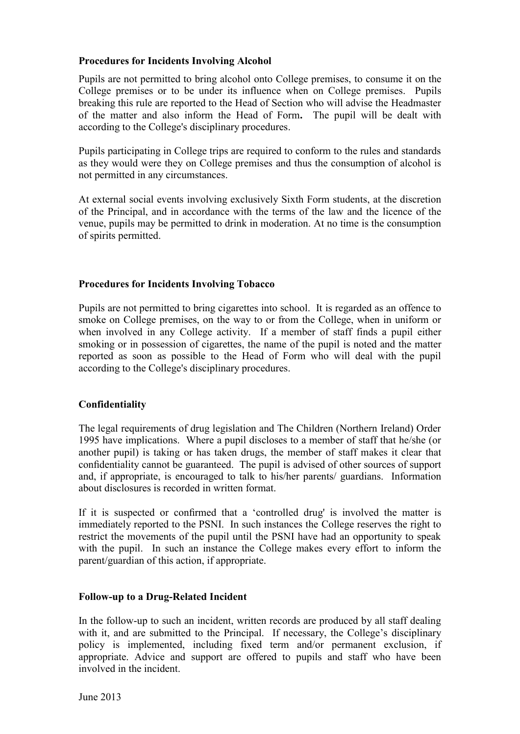## **Procedures for Incidents Involving Alcohol**

Pupils are not permitted to bring alcohol onto College premises, to consume it on the College premises or to be under its influence when on College premises. Pupils breaking this rule are reported to the Head of Section who will advise the Headmaster of the matter and also inform the Head of Form**.** The pupil will be dealt with according to the College's disciplinary procedures.

Pupils participating in College trips are required to conform to the rules and standards as they would were they on College premises and thus the consumption of alcohol is not permitted in any circumstances.

At external social events involving exclusively Sixth Form students, at the discretion of the Principal, and in accordance with the terms of the law and the licence of the venue, pupils may be permitted to drink in moderation. At no time is the consumption of spirits permitted.

## **Procedures for Incidents Involving Tobacco**

Pupils are not permitted to bring cigarettes into school. It is regarded as an offence to smoke on College premises, on the way to or from the College, when in uniform or when involved in any College activity. If a member of staff finds a pupil either smoking or in possession of cigarettes, the name of the pupil is noted and the matter reported as soon as possible to the Head of Form who will deal with the pupil according to the College's disciplinary procedures.

## **Confidentiality**

The legal requirements of drug legislation and The Children (Northern Ireland) Order 1995 have implications. Where a pupil discloses to a member of staff that he/she (or another pupil) is taking or has taken drugs, the member of staff makes it clear that confidentiality cannot be guaranteed. The pupil is advised of other sources of support and, if appropriate, is encouraged to talk to his/her parents/ guardians. Information about disclosures is recorded in written format.

If it is suspected or confirmed that a "controlled drug' is involved the matter is immediately reported to the PSNI. In such instances the College reserves the right to restrict the movements of the pupil until the PSNI have had an opportunity to speak with the pupil. In such an instance the College makes every effort to inform the parent/guardian of this action, if appropriate.

## **Follow-up to a Drug-Related Incident**

In the follow-up to such an incident, written records are produced by all staff dealing with it, and are submitted to the Principal. If necessary, the College's disciplinary policy is implemented, including fixed term and/or permanent exclusion, if appropriate. Advice and support are offered to pupils and staff who have been involved in the incident.